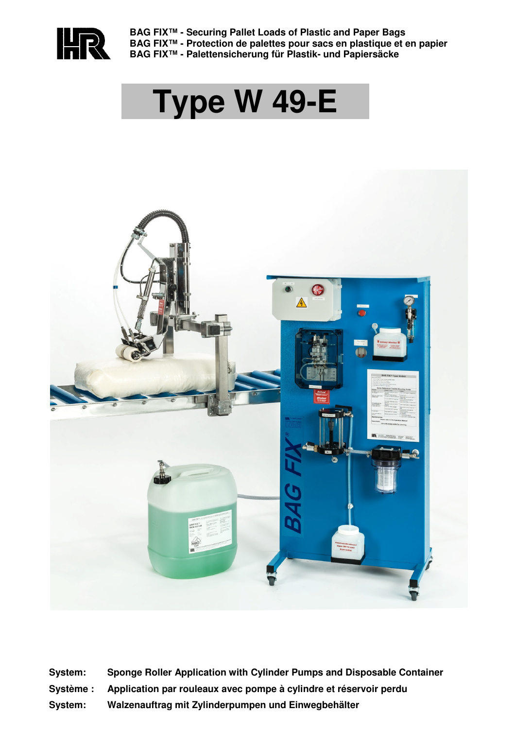

**BAG FIX™ - Securing Pallet Loads of Plastic and Paper Bags BAG FIX™ - Protection de palettes pour sacs en plastique et en papier BAG FIX™ - Palettensicherung für Plastik- und Papiersäcke**

# **Type W 49-E**



- **System: Sponge Roller Application with Cylinder Pumps and Disposable Container**
- **Système : Application par rouleaux avec pompe à cylindre et réservoir perdu**
- **System: Walzenauftrag mit Zylinderpumpen und Einwegbehälter**